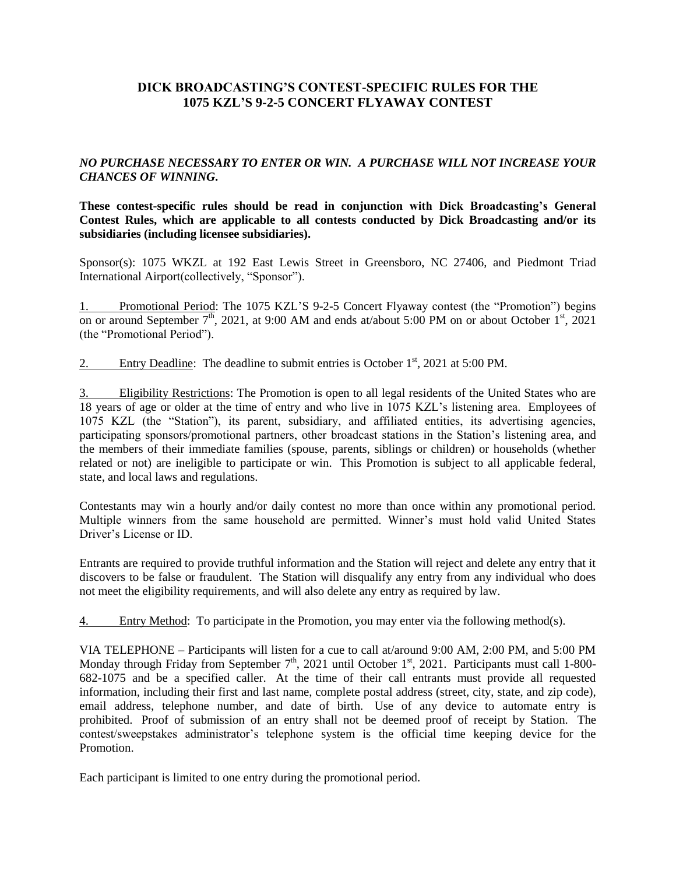# **DICK BROADCASTING'S CONTEST-SPECIFIC RULES FOR THE 1075 KZL'S 9-2-5 CONCERT FLYAWAY CONTEST**

### *NO PURCHASE NECESSARY TO ENTER OR WIN. A PURCHASE WILL NOT INCREASE YOUR CHANCES OF WINNING***.**

**These contest-specific rules should be read in conjunction with Dick Broadcasting's General Contest Rules, which are applicable to all contests conducted by Dick Broadcasting and/or its subsidiaries (including licensee subsidiaries).** 

Sponsor(s): 1075 WKZL at 192 East Lewis Street in Greensboro, NC 27406, and Piedmont Triad International Airport(collectively, "Sponsor").

1. Promotional Period: The 1075 KZL'S 9-2-5 Concert Flyaway contest (the "Promotion") begins on or around September  $7<sup>th</sup>$ , 2021, at 9:00 AM and ends at/about 5:00 PM on or about October 1<sup>st</sup>, 2021 (the "Promotional Period").

2. Entry Deadline: The deadline to submit entries is October  $1<sup>st</sup>$ , 2021 at 5:00 PM.

3. Eligibility Restrictions: The Promotion is open to all legal residents of the United States who are 18 years of age or older at the time of entry and who live in 1075 KZL's listening area. Employees of 1075 KZL (the "Station"), its parent, subsidiary, and affiliated entities, its advertising agencies, participating sponsors/promotional partners, other broadcast stations in the Station's listening area, and the members of their immediate families (spouse, parents, siblings or children) or households (whether related or not) are ineligible to participate or win. This Promotion is subject to all applicable federal, state, and local laws and regulations.

Contestants may win a hourly and/or daily contest no more than once within any promotional period. Multiple winners from the same household are permitted. Winner's must hold valid United States Driver's License or ID.

Entrants are required to provide truthful information and the Station will reject and delete any entry that it discovers to be false or fraudulent. The Station will disqualify any entry from any individual who does not meet the eligibility requirements, and will also delete any entry as required by law.

4. Entry Method: To participate in the Promotion, you may enter via the following method(s).

VIA TELEPHONE – Participants will listen for a cue to call at/around 9:00 AM, 2:00 PM, and 5:00 PM Monday through Friday from September  $7<sup>th</sup>$ , 2021 until October 1<sup>st</sup>, 2021. Participants must call 1-800-682-1075 and be a specified caller. At the time of their call entrants must provide all requested information, including their first and last name, complete postal address (street, city, state, and zip code), email address, telephone number, and date of birth. Use of any device to automate entry is prohibited. Proof of submission of an entry shall not be deemed proof of receipt by Station. The contest/sweepstakes administrator's telephone system is the official time keeping device for the Promotion.

Each participant is limited to one entry during the promotional period.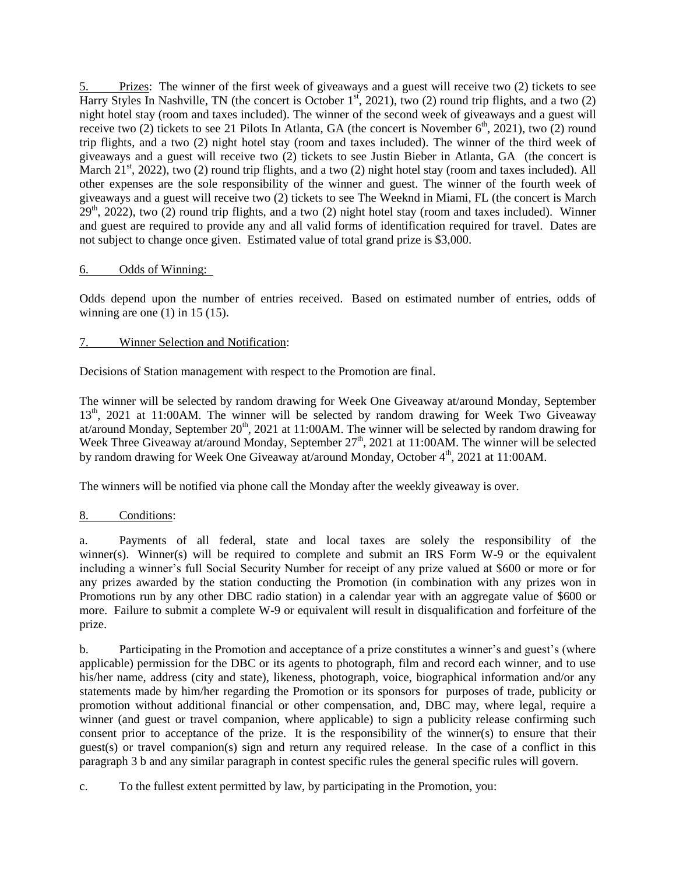5. Prizes: The winner of the first week of giveaways and a guest will receive two (2) tickets to see Harry Styles In Nashville, TN (the concert is October  $1^{st}$ , 2021), two (2) round trip flights, and a two (2) night hotel stay (room and taxes included). The winner of the second week of giveaways and a guest will receive two (2) tickets to see 21 Pilots In Atlanta, GA (the concert is November  $6<sup>th</sup>$ , 2021), two (2) round trip flights, and a two (2) night hotel stay (room and taxes included). The winner of the third week of giveaways and a guest will receive two (2) tickets to see Justin Bieber in Atlanta, GA (the concert is March  $21<sup>st</sup>$ , 2022), two (2) round trip flights, and a two (2) night hotel stay (room and taxes included). All other expenses are the sole responsibility of the winner and guest. The winner of the fourth week of giveaways and a guest will receive two (2) tickets to see The Weeknd in Miami, FL (the concert is March  $29<sup>th</sup>$ , 2022), two (2) round trip flights, and a two (2) night hotel stay (room and taxes included). Winner and guest are required to provide any and all valid forms of identification required for travel. Dates are not subject to change once given. Estimated value of total grand prize is \$3,000.

## 6. Odds of Winning:

Odds depend upon the number of entries received. Based on estimated number of entries, odds of winning are one  $(1)$  in 15  $(15)$ .

## 7. Winner Selection and Notification:

Decisions of Station management with respect to the Promotion are final.

The winner will be selected by random drawing for Week One Giveaway at/around Monday, September 13<sup>th</sup>, 2021 at 11:00AM. The winner will be selected by random drawing for Week Two Giveaway at/around Monday, September  $20<sup>th</sup>$ , 2021 at 11:00AM. The winner will be selected by random drawing for Week Three Giveaway at/around Monday, September 27<sup>th</sup>, 2021 at 11:00AM. The winner will be selected by random drawing for Week One Giveaway at/around Monday, October  $4<sup>th</sup>$ , 2021 at 11:00AM.

The winners will be notified via phone call the Monday after the weekly giveaway is over.

## 8. Conditions:

a. Payments of all federal, state and local taxes are solely the responsibility of the winner(s). Winner(s) will be required to complete and submit an IRS Form W-9 or the equivalent including a winner's full Social Security Number for receipt of any prize valued at \$600 or more or for any prizes awarded by the station conducting the Promotion (in combination with any prizes won in Promotions run by any other DBC radio station) in a calendar year with an aggregate value of \$600 or more. Failure to submit a complete W-9 or equivalent will result in disqualification and forfeiture of the prize.

b. Participating in the Promotion and acceptance of a prize constitutes a winner's and guest's (where applicable) permission for the DBC or its agents to photograph, film and record each winner, and to use his/her name, address (city and state), likeness, photograph, voice, biographical information and/or any statements made by him/her regarding the Promotion or its sponsors for purposes of trade, publicity or promotion without additional financial or other compensation, and, DBC may, where legal, require a winner (and guest or travel companion, where applicable) to sign a publicity release confirming such consent prior to acceptance of the prize. It is the responsibility of the winner(s) to ensure that their guest(s) or travel companion(s) sign and return any required release. In the case of a conflict in this paragraph 3 b and any similar paragraph in contest specific rules the general specific rules will govern.

c. To the fullest extent permitted by law, by participating in the Promotion, you: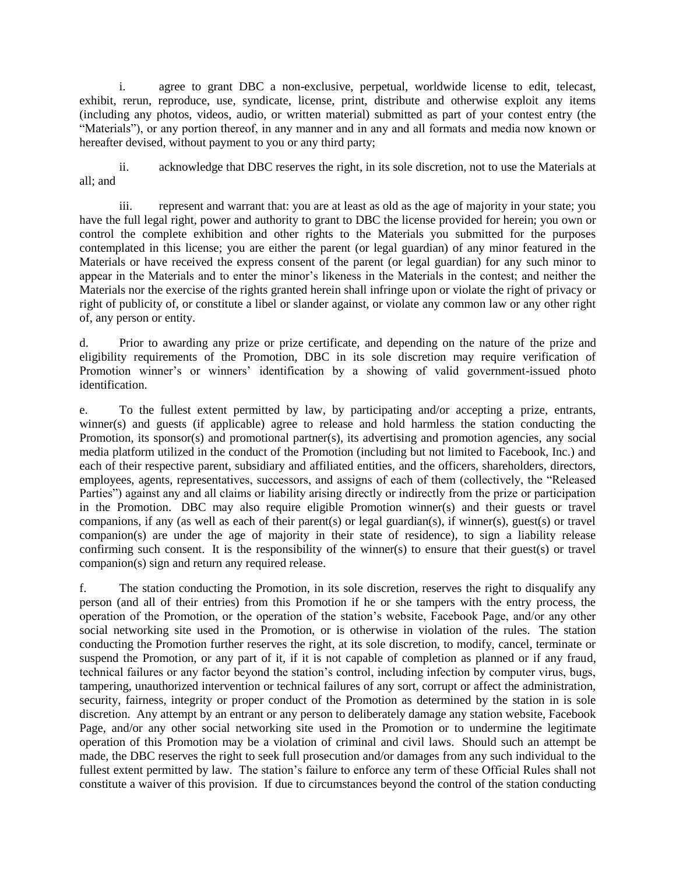i. agree to grant DBC a non-exclusive, perpetual, worldwide license to edit, telecast, exhibit, rerun, reproduce, use, syndicate, license, print, distribute and otherwise exploit any items (including any photos, videos, audio, or written material) submitted as part of your contest entry (the "Materials"), or any portion thereof, in any manner and in any and all formats and media now known or hereafter devised, without payment to you or any third party;

ii. acknowledge that DBC reserves the right, in its sole discretion, not to use the Materials at all; and

iii. represent and warrant that: you are at least as old as the age of majority in your state; you have the full legal right, power and authority to grant to DBC the license provided for herein; you own or control the complete exhibition and other rights to the Materials you submitted for the purposes contemplated in this license; you are either the parent (or legal guardian) of any minor featured in the Materials or have received the express consent of the parent (or legal guardian) for any such minor to appear in the Materials and to enter the minor's likeness in the Materials in the contest; and neither the Materials nor the exercise of the rights granted herein shall infringe upon or violate the right of privacy or right of publicity of, or constitute a libel or slander against, or violate any common law or any other right of, any person or entity.

d. Prior to awarding any prize or prize certificate, and depending on the nature of the prize and eligibility requirements of the Promotion, DBC in its sole discretion may require verification of Promotion winner's or winners' identification by a showing of valid government-issued photo identification.

e. To the fullest extent permitted by law, by participating and/or accepting a prize, entrants, winner(s) and guests (if applicable) agree to release and hold harmless the station conducting the Promotion, its sponsor(s) and promotional partner(s), its advertising and promotion agencies, any social media platform utilized in the conduct of the Promotion (including but not limited to Facebook, Inc.) and each of their respective parent, subsidiary and affiliated entities, and the officers, shareholders, directors, employees, agents, representatives, successors, and assigns of each of them (collectively, the "Released Parties") against any and all claims or liability arising directly or indirectly from the prize or participation in the Promotion. DBC may also require eligible Promotion winner(s) and their guests or travel companions, if any (as well as each of their parent(s) or legal guardian(s), if winner(s), guest(s) or travel companion(s) are under the age of majority in their state of residence), to sign a liability release confirming such consent. It is the responsibility of the winner(s) to ensure that their guest(s) or travel companion(s) sign and return any required release.

f. The station conducting the Promotion, in its sole discretion, reserves the right to disqualify any person (and all of their entries) from this Promotion if he or she tampers with the entry process, the operation of the Promotion, or the operation of the station's website, Facebook Page, and/or any other social networking site used in the Promotion, or is otherwise in violation of the rules. The station conducting the Promotion further reserves the right, at its sole discretion, to modify, cancel, terminate or suspend the Promotion, or any part of it, if it is not capable of completion as planned or if any fraud, technical failures or any factor beyond the station's control, including infection by computer virus, bugs, tampering, unauthorized intervention or technical failures of any sort, corrupt or affect the administration, security, fairness, integrity or proper conduct of the Promotion as determined by the station in is sole discretion. Any attempt by an entrant or any person to deliberately damage any station website, Facebook Page, and/or any other social networking site used in the Promotion or to undermine the legitimate operation of this Promotion may be a violation of criminal and civil laws. Should such an attempt be made, the DBC reserves the right to seek full prosecution and/or damages from any such individual to the fullest extent permitted by law. The station's failure to enforce any term of these Official Rules shall not constitute a waiver of this provision. If due to circumstances beyond the control of the station conducting